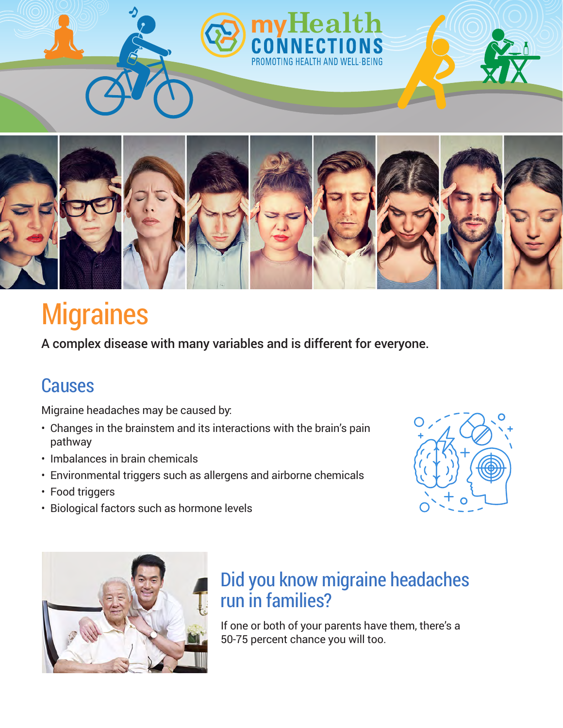

# **Migraines**

A complex disease with many variables and is different for everyone.

### Causes

Migraine headaches may be caused by:

- Changes in the brainstem and its interactions with the brain's pain pathway
- Imbalances in brain chemicals
- Environmental triggers such as allergens and airborne chemicals
- Food triggers
- Biological factors such as hormone levels





## Did you know migraine headaches run in families?

If one or both of your parents have them, there's a 50-75 percent chance you will too.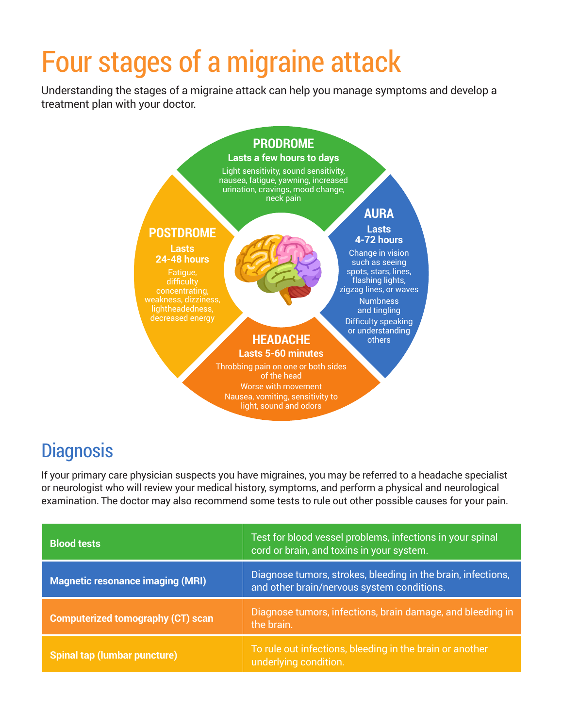# Four stages of a migraine attack

Understanding the stages of a migraine attack can help you manage symptoms and develop a treatment plan with your doctor.



## **Diagnosis**

If your primary care physician suspects you have migraines, you may be referred to a headache specialist or neurologist who will review your medical history, symptoms, and perform a physical and neurological examination. The doctor may also recommend some tests to rule out other possible causes for your pain.

| <b>Blood tests</b>                       | Test for blood vessel problems, infections in your spinal<br>cord or brain, and toxins in your system.     |
|------------------------------------------|------------------------------------------------------------------------------------------------------------|
| <b>Magnetic resonance imaging (MRI)</b>  | Diagnose tumors, strokes, bleeding in the brain, infections,<br>and other brain/nervous system conditions. |
| <b>Computerized tomography (CT) scan</b> | Diagnose tumors, infections, brain damage, and bleeding in<br>the brain.                                   |
| Spinal tap (lumbar puncture)             | To rule out infections, bleeding in the brain or another<br>underlying condition.                          |